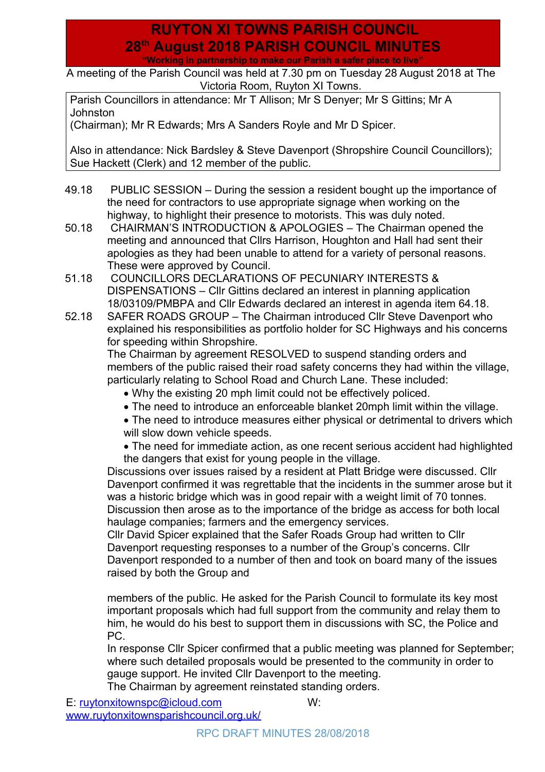## **RUYTON XI TOWNS PARISH COUNCIL 28th August 2018 PARISH COUNCIL MINUTES "Working in partnership to make our Parish a safer place to live"**

A meeting of the Parish Council was held at 7.30 pm on Tuesday 28 August 2018 at The Victoria Room, Ruyton XI Towns.

Parish Councillors in attendance: Mr T Allison; Mr S Denyer; Mr S Gittins; Mr A Johnston

(Chairman); Mr R Edwards; Mrs A Sanders Royle and Mr D Spicer.

Also in attendance: Nick Bardsley & Steve Davenport (Shropshire Council Councillors); Sue Hackett (Clerk) and 12 member of the public.

- 49.18 PUBLIC SESSION During the session a resident bought up the importance of the need for contractors to use appropriate signage when working on the highway, to highlight their presence to motorists. This was duly noted.
- 50.18 CHAIRMAN'S INTRODUCTION & APOLOGIES The Chairman opened the meeting and announced that Cllrs Harrison, Houghton and Hall had sent their apologies as they had been unable to attend for a variety of personal reasons. These were approved by Council.
- 51.18 COUNCILLORS DECLARATIONS OF PECUNIARY INTERESTS & DISPENSATIONS – Cllr Gittins declared an interest in planning application 18/03109/PMBPA and Cllr Edwards declared an interest in agenda item 64.18.
- 52.18 SAFER ROADS GROUP The Chairman introduced Cllr Steve Davenport who explained his responsibilities as portfolio holder for SC Highways and his concerns for speeding within Shropshire.

The Chairman by agreement RESOLVED to suspend standing orders and members of the public raised their road safety concerns they had within the village, particularly relating to School Road and Church Lane. These included:

- Why the existing 20 mph limit could not be effectively policed.
- The need to introduce an enforceable blanket 20mph limit within the village.
- The need to introduce measures either physical or detrimental to drivers which will slow down vehicle speeds.
- The need for immediate action, as one recent serious accident had highlighted the dangers that exist for young people in the village.

Discussions over issues raised by a resident at Platt Bridge were discussed. Cllr Davenport confirmed it was regrettable that the incidents in the summer arose but it was a historic bridge which was in good repair with a weight limit of 70 tonnes. Discussion then arose as to the importance of the bridge as access for both local haulage companies; farmers and the emergency services.

Cllr David Spicer explained that the Safer Roads Group had written to Cllr Davenport requesting responses to a number of the Group's concerns. Cllr Davenport responded to a number of then and took on board many of the issues raised by both the Group and

members of the public. He asked for the Parish Council to formulate its key most important proposals which had full support from the community and relay them to him, he would do his best to support them in discussions with SC, the Police and PC.

<span id="page-0-0"></span>In response Cllr Spicer confirmed that a public meeting was planned for September; where such detailed proposals would be presented to the community in order to gauge support. He invited Cllr Davenport to the meeting. The Chairman by agreement reinstated standing orders.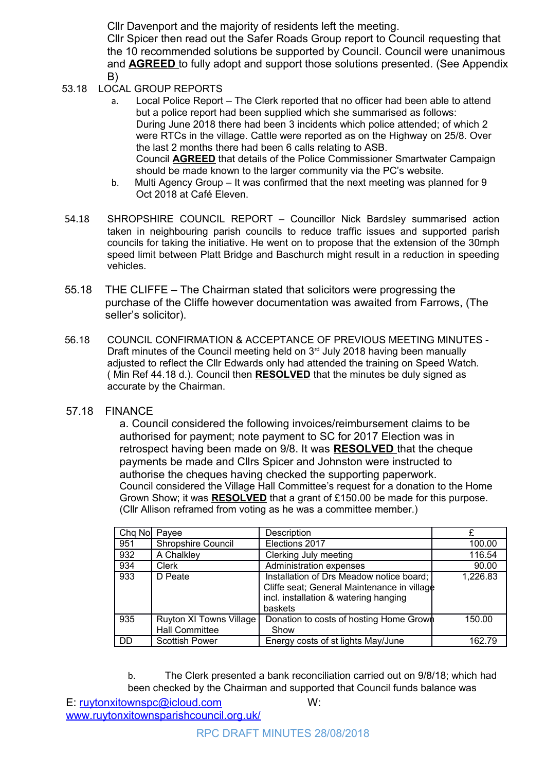Cllr Davenport and the majority of residents left the meeting.

Cllr Spicer then read out the Safer Roads Group report to Council requesting that the 10 recommended solutions be supported by Council. Council were unanimous and **AGREED** to fully adopt and support those solutions presented. (See Appendix B)

- 53.18 LOCAL GROUP REPORTS
	- a. Local Police Report The Clerk reported that no officer had been able to attend but a police report had been supplied which she summarised as follows: During June 2018 there had been 3 incidents which police attended; of which 2 were RTCs in the village. Cattle were reported as on the Highway on 25/8. Over the last 2 months there had been 6 calls relating to ASB. Council **AGREED** that details of the Police Commissioner Smartwater Campaign should be made known to the larger community via the PC's website.
	- b. Multi Agency Group It was confirmed that the next meeting was planned for 9 Oct 2018 at Café Eleven.
- 54.18 SHROPSHIRE COUNCIL REPORT Councillor Nick Bardsley summarised action taken in neighbouring parish councils to reduce traffic issues and supported parish councils for taking the initiative. He went on to propose that the extension of the 30mph speed limit between Platt Bridge and Baschurch might result in a reduction in speeding vehicles.
- 55.18 THE CLIFFE The Chairman stated that solicitors were progressing the purchase of the Cliffe however documentation was awaited from Farrows, (The seller's solicitor).
- 56.18 COUNCIL CONFIRMATION & ACCEPTANCE OF PREVIOUS MEETING MINUTES Draft minutes of the Council meeting held on  $3<sup>rd</sup>$  July 2018 having been manually adjusted to reflect the Cllr Edwards only had attended the training on Speed Watch. ( Min Ref 44.18 d.). Council then **RESOLVED** that the minutes be duly signed as accurate by the Chairman.
- 57.18 FINANCE

a. Council considered the following invoices/reimbursement claims to be authorised for payment; note payment to SC for 2017 Election was in retrospect having been made on 9/8. It was **RESOLVED** that the cheque payments be made and Cllrs Spicer and Johnston were instructed to authorise the cheques having checked the supporting paperwork. Council considered the Village Hall Committee's request for a donation to the Home Grown Show; it was **RESOLVED** that a grant of £150.00 be made for this purpose. (Cllr Allison reframed from voting as he was a committee member.)

| Chq No Payee |                           | Description                                 |          |
|--------------|---------------------------|---------------------------------------------|----------|
| 951          | <b>Shropshire Council</b> | Elections 2017                              | 100.00   |
| 932          | A Chalkley                | Clerking July meeting                       | 116.54   |
| 934          | Clerk                     | Administration expenses                     | 90.00    |
| 933          | D Peate                   | Installation of Drs Meadow notice board;    | 1,226.83 |
|              |                           | Cliffe seat; General Maintenance in village |          |
|              |                           | incl. installation & watering hanging       |          |
|              |                           | baskets                                     |          |
| 935          | Ruyton XI Towns Village   | Donation to costs of hosting Home Grown     | 150.00   |
|              | <b>Hall Committee</b>     | Show                                        |          |
| <b>DD</b>    | <b>Scottish Power</b>     | Energy costs of st lights May/June          | 162.79   |

b. The Clerk presented a bank reconciliation carried out on 9/8/18; which had been checked by the Chairman and supported that Council funds balance was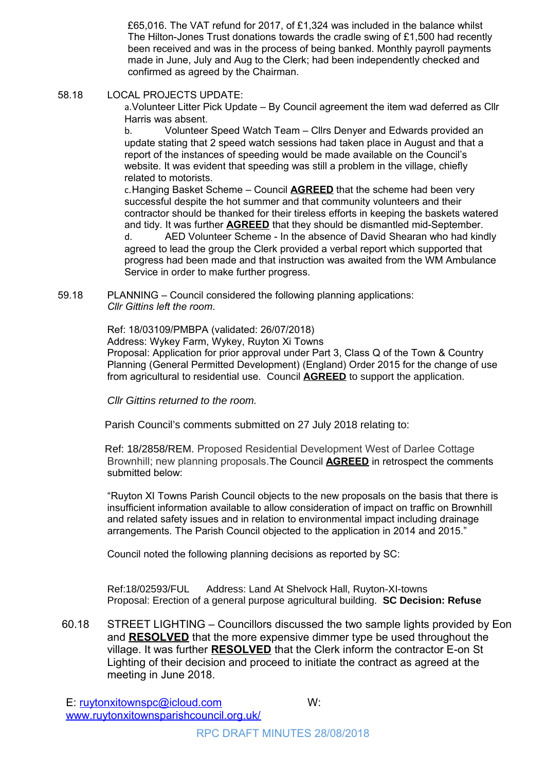£65,016. The VAT refund for 2017, of £1,324 was included in the balance whilst The Hilton-Jones Trust donations towards the cradle swing of £1,500 had recently been received and was in the process of being banked. Monthly payroll payments made in June, July and Aug to the Clerk; had been independently checked and confirmed as agreed by the Chairman.

58.18 LOCAL PROJECTS UPDATE:

a.Volunteer Litter Pick Update – By Council agreement the item wad deferred as Cllr Harris was absent.

b. Volunteer Speed Watch Team – Cllrs Denyer and Edwards provided an update stating that 2 speed watch sessions had taken place in August and that a report of the instances of speeding would be made available on the Council's website. It was evident that speeding was still a problem in the village, chiefly related to motorists.

c.Hanging Basket Scheme – Council **AGREED** that the scheme had been very successful despite the hot summer and that community volunteers and their contractor should be thanked for their tireless efforts in keeping the baskets watered and tidy. It was further **AGREED** that they should be dismantled mid-September. d. AED Volunteer Scheme - In the absence of David Shearan who had kindly agreed to lead the group the Clerk provided a verbal report which supported that progress had been made and that instruction was awaited from the WM Ambulance Service in order to make further progress.

59.18 PLANNING – Council considered the following planning applications: *Cllr Gittins left the room*.

Ref: 18/03109/PMBPA (validated: 26/07/2018)

Address: Wykey Farm, Wykey, Ruyton Xi Towns

Proposal: Application for prior approval under Part 3, Class Q of the Town & Country Planning (General Permitted Development) (England) Order 2015 for the change of use from agricultural to residential use. Council **AGREED** to support the application.

Cllr Gittins returned to the room.

Parish Council's comments submitted on 27 July 2018 relating to:

 Ref: 18/2858/REM. Proposed Residential Development West of Darlee Cottage Brownhill; new planning proposals.The Council **AGREED** in retrospect the comments submitted below:

 "Ruyton XI Towns Parish Council objects to the new proposals on the basis that there is insufficient information available to allow consideration of impact on traffic on Brownhill and related safety issues and in relation to environmental impact including drainage arrangements. The Parish Council objected to the application in 2014 and 2015."

Council noted the following planning decisions as reported by SC:

Ref:18/02593/FUL Address: Land At Shelvock Hall, Ruyton-XI-towns Proposal: Erection of a general purpose agricultural building. **SC Decision: Refuse**

60.18 STREET LIGHTING – Councillors discussed the two sample lights provided by Eon and **RESOLVED** that the more expensive dimmer type be used throughout the village. It was further **RESOLVED** that the Clerk inform the contractor E-on St Lighting of their decision and proceed to initiate the contract as agreed at the meeting in June 2018.

E: <u>ruytonxitownspc@icloud.com</u> W: [www.ruytonxitownsparishcouncil.org.uk/](http://www.ruytonxitownsparishcouncil.org.uk/)